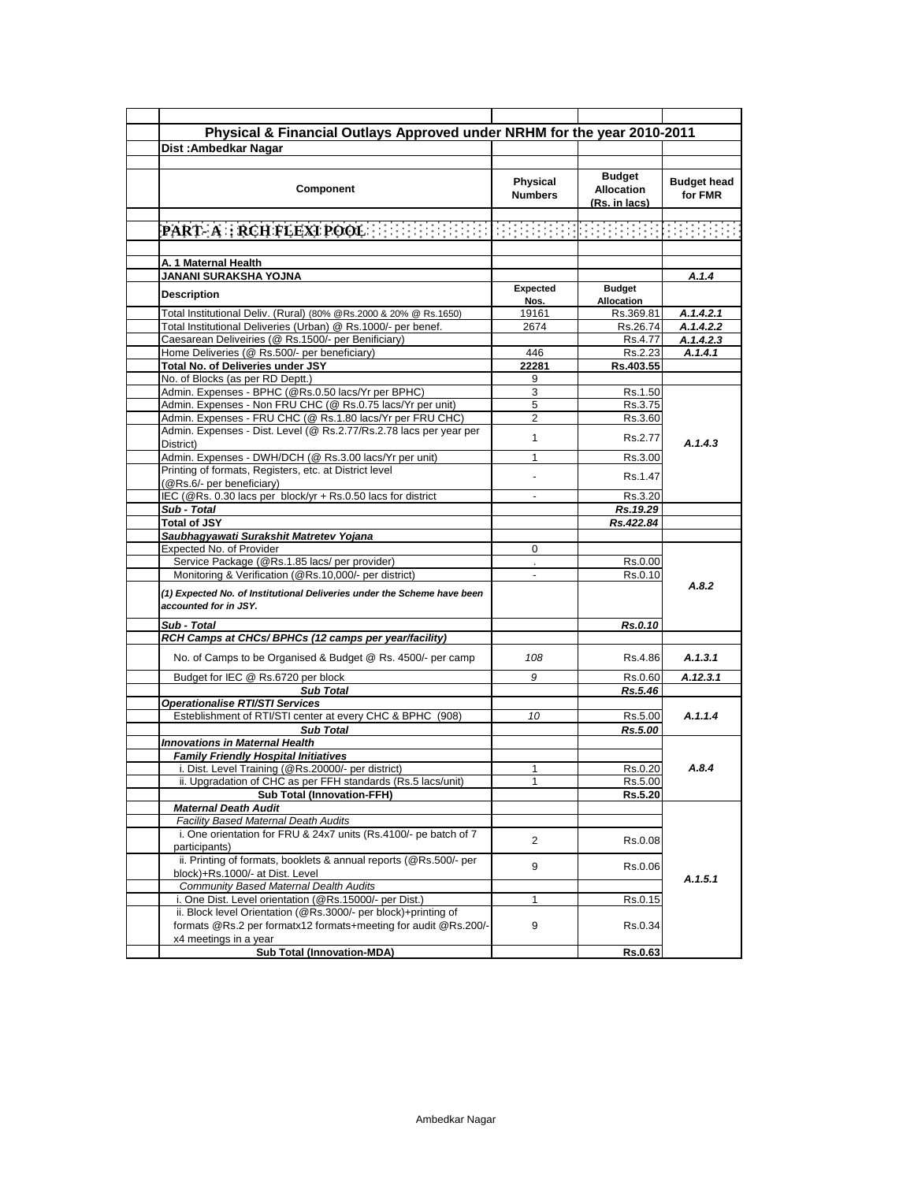| Physical & Financial Outlays Approved under NRHM for the year 2010-2011             |                  |                                    |                    |
|-------------------------------------------------------------------------------------|------------------|------------------------------------|--------------------|
|                                                                                     |                  |                                    |                    |
| Dist: Ambedkar Nagar                                                                |                  |                                    |                    |
|                                                                                     |                  | <b>Budget</b>                      |                    |
| Component                                                                           | Physical         |                                    | <b>Budget head</b> |
|                                                                                     | <b>Numbers</b>   | <b>Allocation</b>                  | for FMR            |
|                                                                                     |                  | (Rs. in lacs)                      |                    |
|                                                                                     |                  |                                    |                    |
|                                                                                     |                  |                                    |                    |
|                                                                                     |                  |                                    |                    |
| A. 1 Maternal Health                                                                |                  |                                    |                    |
| JANANI SURAKSHA YOJNA                                                               |                  |                                    | A.1.4              |
| <b>Description</b>                                                                  | Expected<br>Nos. | <b>Budget</b><br><b>Allocation</b> |                    |
| Total Institutional Deliv. (Rural) (80% @Rs.2000 & 20% @ Rs.1650)                   | 19161            | Rs.369.81                          | A.1.4.2.1          |
| Total Institutional Deliveries (Urban) @ Rs.1000/- per benef.                       | 2674             | Rs.26.74                           | A.1.4.2.2          |
| Caesarean Deliveiries (@ Rs.1500/- per Benificiary)                                 |                  | Rs.4.77                            | A.1.4.2.3          |
| Home Deliveries (@ Rs.500/- per beneficiary)                                        | 446              | Rs.2.23                            | A.1.4.1            |
|                                                                                     |                  |                                    |                    |
| Total No. of Deliveries under JSY                                                   | 22281            | Rs.403.55                          |                    |
| No. of Blocks (as per RD Deptt.)                                                    | 9                |                                    |                    |
| Admin. Expenses - BPHC (@Rs.0.50 lacs/Yr per BPHC)                                  | 3                | Rs.1.50                            |                    |
| Admin. Expenses - Non FRU CHC (@ Rs.0.75 lacs/Yr per unit)                          | 5                | Rs.3.75                            |                    |
| Admin. Expenses - FRU CHC (@ Rs.1.80 lacs/Yr per FRU CHC)                           | 2                | Rs.3.60                            |                    |
| Admin. Expenses - Dist. Level (@ Rs.2.77/Rs.2.78 lacs per year per<br>District)     | 1                | Rs.2.77                            | A.1.4.3            |
| Admin. Expenses - DWH/DCH (@ Rs.3.00 lacs/Yr per unit)                              | 1                | Rs.3.00                            |                    |
| Printing of formats, Registers, etc. at District level<br>(@Rs.6/- per beneficiary) |                  | Rs.1.47                            |                    |
| IEC (@Rs. 0.30 lacs per block/yr + Rs.0.50 lacs for district                        |                  | Rs.3.20                            |                    |
| Sub - Total                                                                         |                  | Rs.19.29                           |                    |
| <b>Total of JSY</b>                                                                 |                  | Rs.422.84                          |                    |
|                                                                                     |                  |                                    |                    |
| Saubhagyawati Surakshit Matretev Yojana                                             |                  |                                    |                    |
| Expected No. of Provider                                                            | 0                |                                    |                    |
| Service Package (@Rs.1.85 lacs/ per provider)                                       |                  | Rs.0.00                            |                    |
| Monitoring & Verification (@Rs.10,000/- per district)                               |                  | Rs.0.10                            | A.8.2              |
| (1) Expected No. of Institutional Deliveries under the Scheme have been             |                  |                                    |                    |
| accounted for in JSY.                                                               |                  |                                    |                    |
| Sub - Total                                                                         |                  | Rs.0.10                            |                    |
| RCH Camps at CHCs/ BPHCs (12 camps per year/facility)                               |                  |                                    |                    |
| No. of Camps to be Organised & Budget @ Rs. 4500/- per camp                         | 108              | Rs.4.86                            | A.1.3.1            |
| Budget for IEC @ Rs.6720 per block                                                  | 9                | Rs.0.60                            | A.12.3.1           |
| <b>Sub Total</b>                                                                    |                  | Rs.5.46                            |                    |
| <b>Operationalise RTI/STI Services</b>                                              |                  |                                    |                    |
| Esteblishment of RTI/STI center at every CHC & BPHC (908)                           | 10               | Rs.5.00                            | A.1.1.4            |
| <b>Sub Total</b>                                                                    |                  | Rs.5.00                            |                    |
| <b>Innovations in Maternal Health</b>                                               |                  |                                    |                    |
| <b>Family Friendly Hospital Initiatives</b>                                         |                  |                                    |                    |
| i. Dist. Level Training (@Rs.20000/- per district)                                  | 1                | Rs.0.20                            | A.8.4              |
|                                                                                     |                  |                                    |                    |
| ii. Upgradation of CHC as per FFH standards (Rs.5 lacs/unit)                        |                  | Rs.5.00                            |                    |
| <b>Sub Total (Innovation-FFH)</b>                                                   |                  | Rs.5.20                            |                    |
| <b>Maternal Death Audit</b>                                                         |                  |                                    |                    |
| Facility Based Maternal Death Audits                                                |                  |                                    |                    |
| i. One orientation for FRU & 24x7 units (Rs.4100/- pe batch of 7                    | $\overline{2}$   | Rs.0.08                            |                    |
| participants)                                                                       |                  |                                    |                    |
| ii. Printing of formats, booklets & annual reports (@Rs.500/- per                   |                  |                                    |                    |
| block)+Rs.1000/- at Dist. Level                                                     | 9                | Rs.0.06                            |                    |
| Community Based Maternal Dealth Audits                                              |                  |                                    | A.1.5.1            |
| i. One Dist. Level orientation (@Rs.15000/- per Dist.)                              | 1                | Rs.0.15                            |                    |
| ii. Block level Orientation (@Rs.3000/- per block)+printing of                      |                  |                                    |                    |
|                                                                                     |                  |                                    |                    |
| formats @Rs.2 per formatx12 formats+meeting for audit @Rs.200/-                     | 9                | Rs.0.34                            |                    |
| x4 meetings in a year                                                               |                  |                                    |                    |
| <b>Sub Total (Innovation-MDA)</b>                                                   |                  | Rs.0.63                            |                    |
|                                                                                     |                  |                                    |                    |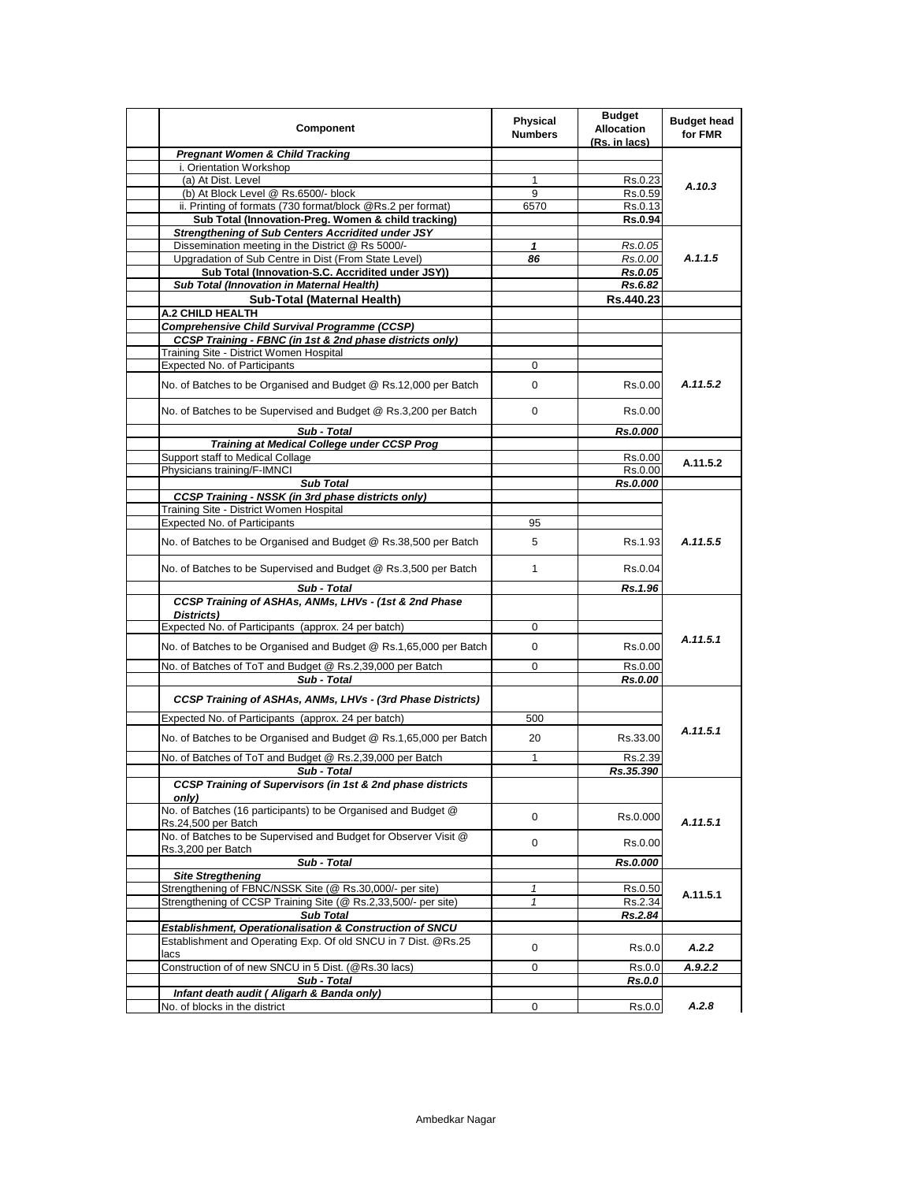| Component                                                                            | <b>Physical</b><br><b>Numbers</b> | <b>Budget</b><br><b>Allocation</b><br>(Rs. in lacs) | <b>Budget head</b><br>for FMR |
|--------------------------------------------------------------------------------------|-----------------------------------|-----------------------------------------------------|-------------------------------|
| <b>Pregnant Women &amp; Child Tracking</b>                                           |                                   |                                                     |                               |
| i. Orientation Workshop                                                              |                                   |                                                     |                               |
| (a) At Dist. Level                                                                   | 1                                 | Rs 0.23                                             | A.10.3                        |
| (b) At Block Level @ Rs.6500/- block                                                 | 9                                 | Rs.0.59                                             |                               |
| ii. Printing of formats (730 format/block @Rs.2 per format)                          | 6570                              | Rs.0.13                                             |                               |
| Sub Total (Innovation-Preg. Women & child tracking)                                  |                                   | <b>Rs.0.94</b>                                      |                               |
| <b>Strengthening of Sub Centers Accridited under JSY</b>                             |                                   |                                                     |                               |
| Dissemination meeting in the District @ Rs 5000/-                                    | 1                                 | Rs.0.05                                             |                               |
| Upgradation of Sub Centre in Dist (From State Level)                                 | 86                                | Rs.0.00                                             | A.1.1.5                       |
| Sub Total (Innovation-S.C. Accridited under JSY))                                    |                                   | Rs.0.05                                             |                               |
| Sub Total (Innovation in Maternal Health)                                            |                                   | Rs.6.82                                             |                               |
| Sub-Total (Maternal Health)                                                          |                                   | Rs.440.23                                           |                               |
| <b>A.2 CHILD HEALTH</b>                                                              |                                   |                                                     |                               |
| <b>Comprehensive Child Survival Programme (CCSP)</b>                                 |                                   |                                                     |                               |
| <b>CCSP Training - FBNC (in 1st &amp; 2nd phase districts only)</b>                  |                                   |                                                     |                               |
| Training Site - District Women Hospital                                              |                                   |                                                     |                               |
| Expected No. of Participants                                                         | 0                                 |                                                     |                               |
|                                                                                      |                                   |                                                     |                               |
| No. of Batches to be Organised and Budget @ Rs.12,000 per Batch                      | 0                                 | Rs.0.00                                             | A.11.5.2                      |
| No. of Batches to be Supervised and Budget @ Rs.3,200 per Batch                      | $\mathbf 0$                       | Rs.0.00                                             |                               |
| Sub - Total                                                                          |                                   | Rs.0.000                                            |                               |
| Training at Medical College under CCSP Prog                                          |                                   |                                                     |                               |
| Support staff to Medical Collage                                                     |                                   | Rs.0.00                                             | A.11.5.2                      |
| Physicians training/F-IMNCI                                                          |                                   | Rs.0.00                                             |                               |
| <b>Sub Total</b>                                                                     |                                   | Rs.0.000                                            |                               |
| <b>CCSP Training - NSSK (in 3rd phase districts only)</b>                            |                                   |                                                     |                               |
| Training Site - District Women Hospital                                              |                                   |                                                     |                               |
| Expected No. of Participants                                                         | 95                                |                                                     |                               |
| No. of Batches to be Organised and Budget @ Rs.38,500 per Batch                      | 5                                 | Rs.1.93                                             | A.11.5.5                      |
| No. of Batches to be Supervised and Budget @ Rs.3,500 per Batch                      | $\mathbf{1}$                      | Rs 0.04                                             |                               |
| Sub - Total                                                                          |                                   | Rs.1.96                                             |                               |
| CCSP Training of ASHAs, ANMs, LHVs - (1st & 2nd Phase<br>Districts)                  |                                   |                                                     |                               |
| Expected No. of Participants (approx. 24 per batch)                                  | 0                                 |                                                     |                               |
|                                                                                      |                                   |                                                     | A.11.5.1                      |
| No. of Batches to be Organised and Budget @ Rs.1,65,000 per Batch                    | 0                                 | Rs.0.00                                             |                               |
| No. of Batches of ToT and Budget @ Rs.2,39,000 per Batch<br>Sub - Total              | 0                                 | Rs.0.00<br>Rs.0.00                                  |                               |
| CCSP Training of ASHAs, ANMs, LHVs - (3rd Phase Districts)                           |                                   |                                                     |                               |
|                                                                                      |                                   |                                                     |                               |
| Expected No. of Participants (approx. 24 per batch)                                  | 500                               |                                                     |                               |
| No. of Batches to be Organised and Budget @ Rs.1,65,000 per Batch                    | 20                                | Rs.33.00                                            | A.11.5.1                      |
| No. of Batches of ToT and Budget @ Rs.2,39,000 per Batch                             | $\mathbf{1}$                      | Rs.2.39                                             |                               |
| Sub - Total                                                                          |                                   | Rs.35.390                                           |                               |
| CCSP Training of Supervisors (in 1st & 2nd phase districts<br>onlv)                  |                                   |                                                     |                               |
| No. of Batches (16 participants) to be Organised and Budget @<br>Rs.24,500 per Batch | 0                                 | Rs.0.000                                            | A.11.5.1                      |
| No. of Batches to be Supervised and Budget for Observer Visit @                      | 0                                 | Rs.0.00                                             |                               |
| Rs.3,200 per Batch<br>Sub - Total                                                    |                                   | Rs.0.000                                            |                               |
| <b>Site Stregthening</b>                                                             |                                   |                                                     |                               |
| Strengthening of FBNC/NSSK Site (@ Rs.30,000/- per site)                             | 1                                 | Rs.0.50                                             | A.11.5.1                      |
| Strengthening of CCSP Training Site (@ Rs.2,33,500/- per site)                       | $\mathbf{1}$                      | Rs.2.34                                             |                               |
| <b>Sub Total</b>                                                                     |                                   | Rs.2.84                                             |                               |
| <b>Establishment, Operationalisation &amp; Construction of SNCU</b>                  |                                   |                                                     |                               |
| Establishment and Operating Exp. Of old SNCU in 7 Dist. @Rs.25                       | 0                                 | Rs.0.0                                              | A.2.2                         |
| lacs                                                                                 |                                   |                                                     |                               |
| Construction of of new SNCU in 5 Dist. (@Rs.30 lacs)                                 | 0                                 | Rs.0.0                                              | A.9.2.2                       |
| Sub - Total                                                                          |                                   | Rs.0.0                                              |                               |
| Infant death audit ( Aligarh & Banda only)                                           |                                   |                                                     |                               |
| No. of blocks in the district                                                        | 0                                 | Rs.0.0                                              | A.2.8                         |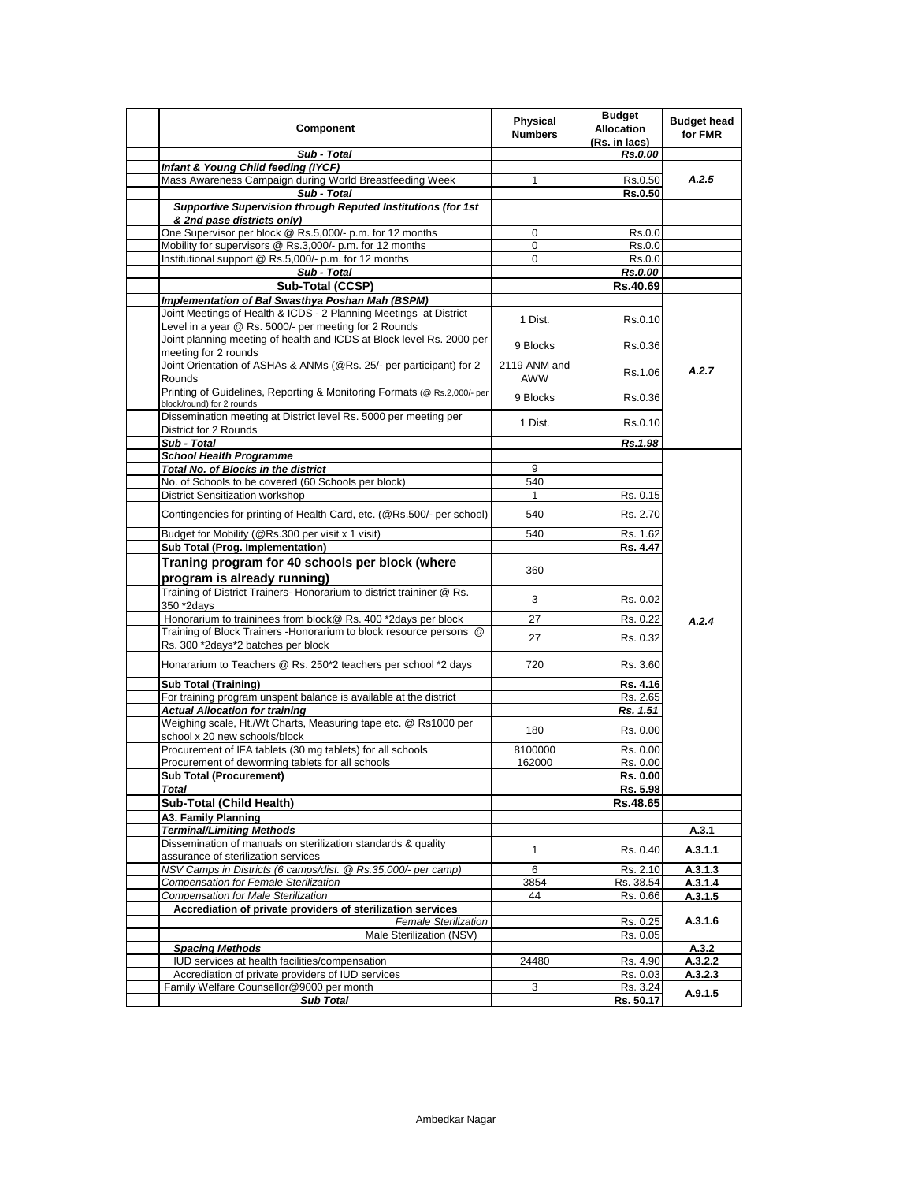| Component                                                                                                             | Physical<br><b>Numbers</b> | <b>Budget</b><br><b>Allocation</b><br>(Rs. in lacs) | <b>Budget head</b><br>for FMR |
|-----------------------------------------------------------------------------------------------------------------------|----------------------------|-----------------------------------------------------|-------------------------------|
| Sub - Total                                                                                                           |                            | Rs.0.00                                             |                               |
| Infant & Young Child feeding (IYCF)                                                                                   |                            |                                                     |                               |
| Mass Awareness Campaign during World Breastfeeding Week                                                               | 1                          | Rs.0.50                                             | A.2.5                         |
| Sub - Total                                                                                                           |                            | <b>Rs.0.50</b>                                      |                               |
| Supportive Supervision through Reputed Institutions (for 1st<br>& 2nd pase districts only)                            |                            |                                                     |                               |
| One Supervisor per block @ Rs.5,000/- p.m. for 12 months                                                              | 0                          | Rs.0.0                                              |                               |
| Mobility for supervisors @ Rs.3,000/- p.m. for 12 months                                                              | $\mathbf 0$                | Rs.0.0                                              |                               |
| Institutional support @ Rs.5,000/- p.m. for 12 months                                                                 | 0                          | Rs.0.0                                              |                               |
| Sub - Total                                                                                                           |                            | Rs.0.00                                             |                               |
| Sub-Total (CCSP)                                                                                                      |                            | Rs.40.69                                            |                               |
| Implementation of Bal Swasthya Poshan Mah (BSPM)<br>Joint Meetings of Health & ICDS - 2 Planning Meetings at District |                            |                                                     |                               |
| Level in a year @ Rs. 5000/- per meeting for 2 Rounds                                                                 | 1 Dist.                    | Rs.0.10                                             |                               |
| Joint planning meeting of health and ICDS at Block level Rs. 2000 per                                                 | 9 Blocks                   | Rs.0.36                                             |                               |
| meeting for 2 rounds                                                                                                  |                            |                                                     |                               |
| Joint Orientation of ASHAs & ANMs (@Rs. 25/- per participant) for 2<br>Rounds                                         | 2119 ANM and<br>AWW        | Rs.1.06                                             | A.2.7                         |
| Printing of Guidelines, Reporting & Monitoring Formats (@ Rs.2,000/- per<br>block/round) for 2 rounds                 | 9 Blocks                   | Rs.0.36                                             |                               |
| Dissemination meeting at District level Rs. 5000 per meeting per<br>District for 2 Rounds                             | 1 Dist.                    | Rs.0.10                                             |                               |
| Sub - Total                                                                                                           |                            | Rs.1.98                                             |                               |
| <b>School Health Programme</b>                                                                                        |                            |                                                     |                               |
| Total No. of Blocks in the district                                                                                   | 9                          |                                                     |                               |
| No. of Schools to be covered (60 Schools per block)                                                                   | 540                        |                                                     |                               |
| District Sensitization workshop                                                                                       | 1                          | Rs. 0.15                                            |                               |
| Contingencies for printing of Health Card, etc. (@Rs.500/- per school)                                                | 540                        | Rs. 2.70                                            |                               |
| Budget for Mobility (@Rs.300 per visit x 1 visit)                                                                     | 540                        | Rs. 1.62                                            |                               |
| <b>Sub Total (Prog. Implementation)</b>                                                                               |                            | Rs. 4.47                                            |                               |
| Traning program for 40 schools per block (where<br>program is already running)                                        | 360                        |                                                     |                               |
| Training of District Trainers- Honorarium to district traininer @ Rs.                                                 |                            |                                                     |                               |
| 350 *2days                                                                                                            | 3                          | Rs. 0.02                                            |                               |
| Honorarium to traininees from block@ Rs. 400 *2days per block                                                         | 27                         | Rs. 0.22                                            | A.2.4                         |
| Training of Block Trainers - Honorarium to block resource persons @                                                   |                            |                                                     |                               |
| Rs. 300 *2days*2 batches per block                                                                                    | 27                         | Rs. 0.32                                            |                               |
| Honararium to Teachers @ Rs. 250*2 teachers per school *2 days                                                        | 720                        | Rs. 3.60                                            |                               |
| <b>Sub Total (Training)</b>                                                                                           |                            | Rs. 4.16                                            |                               |
| For training program unspent balance is available at the district                                                     |                            | Rs. 2.65                                            |                               |
| <b>Actual Allocation for training</b>                                                                                 |                            | Rs. 1.51                                            |                               |
| Weighing scale, Ht./Wt Charts, Measuring tape etc. @ Rs1000 per                                                       | 180                        | Rs. 0.00                                            |                               |
| school x 20 new schools/block                                                                                         |                            |                                                     |                               |
| Procurement of IFA tablets (30 mg tablets) for all schools                                                            | 8100000                    | Rs. 0.00                                            |                               |
| Procurement of deworming tablets for all schools                                                                      | 162000                     | Rs. 0.00                                            |                               |
| <b>Sub Total (Procurement)</b><br><b>Total</b>                                                                        |                            | Rs. 0.00<br>Rs. 5.98                                |                               |
| Sub-Total (Child Health)                                                                                              |                            | Rs.48.65                                            |                               |
| A3. Family Planning                                                                                                   |                            |                                                     |                               |
| <b>Terminal/Limiting Methods</b>                                                                                      |                            |                                                     | A.3.1                         |
| Dissemination of manuals on sterilization standards & quality                                                         |                            |                                                     |                               |
| assurance of sterilization services                                                                                   | $\mathbf{1}$               | Rs. 0.40                                            | A.3.1.1                       |
| NSV Camps in Districts (6 camps/dist. @ Rs.35,000/- per camp)<br><b>Compensation for Female Sterilization</b>         | 6<br>3854                  | Rs. 2.10<br>Rs. 38.54                               | A.3.1.3<br>A.3.1.4            |
| <b>Compensation for Male Sterilization</b>                                                                            | 44                         | Rs. 0.66                                            | A.3.1.5                       |
| Accrediation of private providers of sterilization services                                                           |                            |                                                     |                               |
| <b>Female Sterilization</b>                                                                                           |                            | Rs. 0.25                                            | A.3.1.6                       |
| Male Sterilization (NSV)                                                                                              |                            | Rs. 0.05                                            |                               |
| <b>Spacing Methods</b>                                                                                                |                            |                                                     | A.3.2                         |
| IUD services at health facilities/compensation                                                                        | 24480                      | Rs. 4.90                                            | A.3.2.2                       |
| Accrediation of private providers of IUD services                                                                     |                            | Rs. 0.03                                            | A.3.2.3                       |
| Family Welfare Counsellor@9000 per month                                                                              | 3                          | Rs. 3.24                                            | A.9.1.5                       |
| <b>Sub Total</b>                                                                                                      |                            | Rs. 50.17                                           |                               |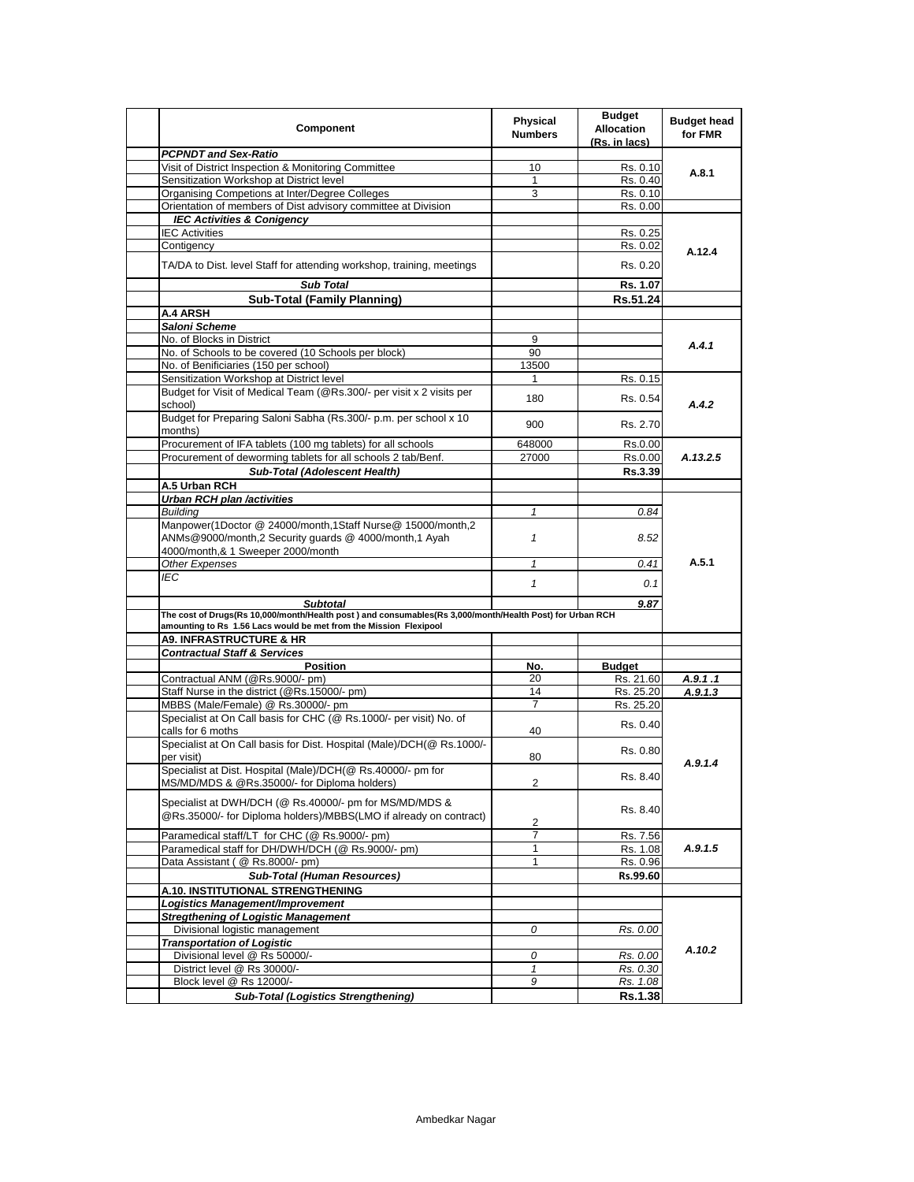| Component                                                                                                                   | Physical<br><b>Numbers</b> | <b>Budget</b><br><b>Allocation</b><br>(Rs. in lacs) | <b>Budget head</b><br>for FMR |
|-----------------------------------------------------------------------------------------------------------------------------|----------------------------|-----------------------------------------------------|-------------------------------|
| <b>PCPNDT and Sex-Ratio</b>                                                                                                 |                            |                                                     |                               |
| Visit of District Inspection & Monitoring Committee                                                                         | 10                         | Rs. 0.10                                            | A.8.1                         |
| Sensitization Workshop at District level                                                                                    | 1                          | Rs. 0.40                                            |                               |
| Organising Competions at Inter/Degree Colleges                                                                              | 3                          | Rs. 0.10                                            |                               |
| Orientation of members of Dist advisory committee at Division                                                               |                            | Rs. 0.00                                            |                               |
| <b>IEC Activities &amp; Conigency</b>                                                                                       |                            |                                                     |                               |
| <b>IEC Activities</b>                                                                                                       |                            | Rs. 0.25                                            |                               |
| Contigency                                                                                                                  |                            | Rs. 0.02                                            | A.12.4                        |
| TA/DA to Dist. level Staff for attending workshop, training, meetings                                                       |                            | Rs. 0.20                                            |                               |
| <b>Sub Total</b>                                                                                                            |                            | Rs. 1.07                                            |                               |
| <b>Sub-Total (Family Planning)</b>                                                                                          |                            | Rs.51.24                                            |                               |
| A.4 ARSH                                                                                                                    |                            |                                                     |                               |
| Saloni Scheme                                                                                                               |                            |                                                     |                               |
| No. of Blocks in District                                                                                                   | 9                          |                                                     |                               |
| No. of Schools to be covered (10 Schools per block)                                                                         | 90                         |                                                     | A.4.1                         |
| No. of Benificiaries (150 per school)                                                                                       | 13500                      |                                                     |                               |
| Sensitization Workshop at District level                                                                                    | 1                          | Rs. 0.15                                            |                               |
| Budget for Visit of Medical Team (@Rs.300/- per visit x 2 visits per                                                        |                            |                                                     |                               |
| school)                                                                                                                     | 180                        | Rs. 0.54                                            | A.4.2                         |
| Budget for Preparing Saloni Sabha (Rs.300/- p.m. per school x 10<br>months)                                                 | 900                        | Rs. 2.70                                            |                               |
| Procurement of IFA tablets (100 mg tablets) for all schools                                                                 | 648000                     | Rs.0.00                                             |                               |
| Procurement of deworming tablets for all schools 2 tab/Benf.                                                                | 27000                      | Rs.0.00                                             | A.13.2.5                      |
| <b>Sub-Total (Adolescent Health)</b>                                                                                        |                            | Rs.3.39                                             |                               |
| A.5 Urban RCH                                                                                                               |                            |                                                     |                               |
| <b>Urban RCH plan /activities</b>                                                                                           |                            |                                                     |                               |
| <b>Building</b>                                                                                                             | 1                          | 0.84                                                |                               |
| Manpower(1Doctor @ 24000/month,1Staff Nurse@ 15000/month,2<br>ANMs@9000/month,2 Security quards @ 4000/month,1 Ayah         | $\mathbf{1}$               | 8.52                                                |                               |
| 4000/month,& 1 Sweeper 2000/month                                                                                           |                            |                                                     | A.5.1                         |
| Other Expenses                                                                                                              | $\mathbf{1}$               | 0.41                                                |                               |
| <b>IEC</b>                                                                                                                  | $\mathbf{1}$               | 0.1                                                 |                               |
| <b>Subtotal</b><br>The cost of Drugs(Rs 10,000/month/Health post) and consumables(Rs 3,000/month/Health Post) for Urban RCH |                            | 9.87                                                |                               |
| amounting to Rs 1.56 Lacs would be met from the Mission Flexipool                                                           |                            |                                                     |                               |
| <b>A9. INFRASTRUCTURE &amp; HR</b>                                                                                          |                            |                                                     |                               |
| <b>Contractual Staff &amp; Services</b>                                                                                     |                            |                                                     |                               |
| <b>Position</b>                                                                                                             | No.                        | <b>Budget</b>                                       |                               |
| Contractual ANM (@Rs.9000/- pm)                                                                                             | 20                         | Rs. 21.60                                           | A.9.1.1                       |
| Staff Nurse in the district (@Rs.15000/- pm)                                                                                | 14                         | Rs. 25.20                                           | A.9.1.3                       |
| MBBS (Male/Female) @ Rs.30000/- pm                                                                                          | 7                          | Rs. 25.20                                           |                               |
| Specialist at On Call basis for CHC (@ Rs.1000/- per visit) No. of                                                          |                            | Rs. 0.40                                            |                               |
| calls for 6 moths<br>Specialist at On Call basis for Dist. Hospital (Male)/DCH(@ Rs.1000/-                                  | 40                         |                                                     |                               |
| per visit)                                                                                                                  | 80                         | Rs. 0.80                                            | A.9.1.4                       |
| Specialist at Dist. Hospital (Male)/DCH(@ Rs.40000/- pm for<br>MS/MD/MDS & @Rs.35000/- for Diploma holders)                 | 2                          | Rs. 8.40                                            |                               |
| Specialist at DWH/DCH (@ Rs.40000/- pm for MS/MD/MDS &<br>@Rs.35000/- for Diploma holders)/MBBS(LMO if already on contract) | 2                          | Rs. 8.40                                            |                               |
| Paramedical staff/LT for CHC (@ Rs.9000/- pm)                                                                               | 7                          | Rs. 7.56                                            |                               |
| Paramedical staff for DH/DWH/DCH (@ Rs.9000/- pm)                                                                           | 1                          | Rs. 1.08                                            | A.9.1.5                       |
| Data Assistant ( @ Rs.8000/- pm)                                                                                            | $\mathbf{1}$               | Rs. 0.96                                            |                               |
| <b>Sub-Total (Human Resources)</b>                                                                                          |                            | Rs.99.60                                            |                               |
| A.10. INSTITUTIONAL STRENGTHENING                                                                                           |                            |                                                     |                               |
|                                                                                                                             |                            |                                                     |                               |
| Logistics Management/Improvement                                                                                            |                            |                                                     |                               |
| <b>Stregthening of Logistic Management</b>                                                                                  |                            |                                                     |                               |
| Divisional logistic management                                                                                              | 0                          | Rs. 0.00                                            |                               |
| <b>Transportation of Logistic</b>                                                                                           |                            |                                                     | A.10.2                        |
| Divisional level @ Rs 50000/-                                                                                               | 0                          | Rs. 0.00                                            |                               |
| District level @ Rs 30000/-                                                                                                 | 1                          | Rs. 0.30                                            |                               |
| Block level @ Rs 12000/-                                                                                                    | 9                          | Rs. 1.08                                            |                               |
| <b>Sub-Total (Logistics Strengthening)</b>                                                                                  |                            | <b>Rs.1.38</b>                                      |                               |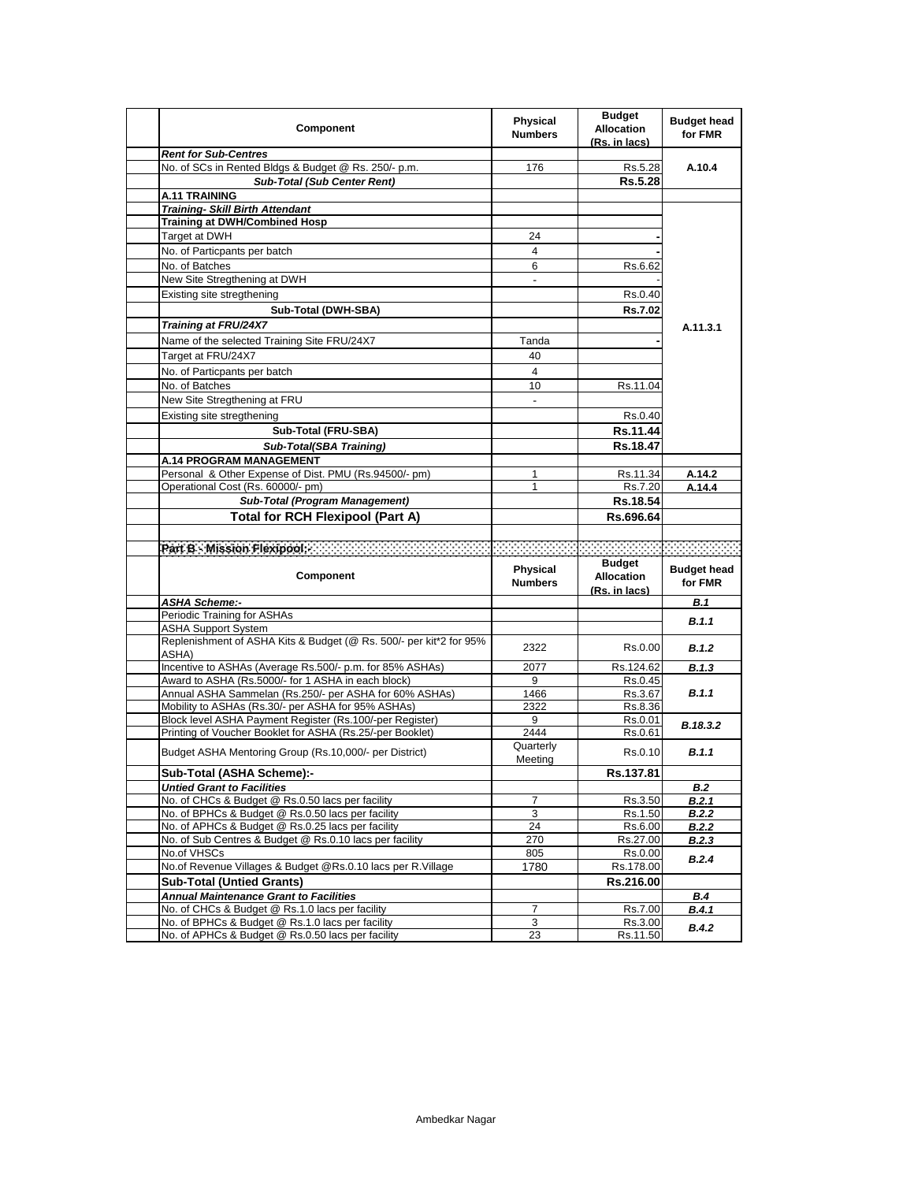| Component                                                                                                           | <b>Physical</b><br><b>Numbers</b> | <b>Budget</b><br><b>Allocation</b><br><u>(Rs. in lacs)</u> | <b>Budget head</b><br>for FMR |
|---------------------------------------------------------------------------------------------------------------------|-----------------------------------|------------------------------------------------------------|-------------------------------|
| <b>Rent for Sub-Centres</b>                                                                                         |                                   |                                                            |                               |
| No. of SCs in Rented Bldgs & Budget @ Rs. 250/- p.m.                                                                | 176                               | Rs.5.28                                                    | A.10.4                        |
| <b>Sub-Total (Sub Center Rent)</b>                                                                                  |                                   | Rs.5.28                                                    |                               |
| A.11 TRAINING                                                                                                       |                                   |                                                            |                               |
| <b>Training- Skill Birth Attendant</b>                                                                              |                                   |                                                            |                               |
| <b>Training at DWH/Combined Hosp</b>                                                                                |                                   |                                                            |                               |
| Target at DWH                                                                                                       | 24                                |                                                            |                               |
| No. of Particpants per batch                                                                                        | 4                                 |                                                            |                               |
| No. of Batches                                                                                                      | 6                                 | Rs.6.62                                                    |                               |
| New Site Stregthening at DWH                                                                                        | $\overline{\phantom{a}}$          |                                                            |                               |
| Existing site stregthening                                                                                          |                                   | Rs.0.40                                                    |                               |
| Sub-Total (DWH-SBA)                                                                                                 |                                   | Rs.7.02                                                    |                               |
| <b>Training at FRU/24X7</b>                                                                                         |                                   |                                                            | A.11.3.1                      |
| Name of the selected Training Site FRU/24X7                                                                         | Tanda                             |                                                            |                               |
| Target at FRU/24X7                                                                                                  | 40                                |                                                            |                               |
| No. of Particpants per batch                                                                                        | 4                                 |                                                            |                               |
| No. of Batches                                                                                                      | 10                                | Rs.11.04                                                   |                               |
| New Site Stregthening at FRU                                                                                        |                                   |                                                            |                               |
| Existing site stregthening                                                                                          |                                   | Rs.0.40                                                    |                               |
| Sub-Total (FRU-SBA)                                                                                                 |                                   | Rs.11.44                                                   |                               |
| Sub-Total(SBA Training)                                                                                             |                                   | Rs.18.47                                                   |                               |
| <b>A.14 PROGRAM MANAGEMENT</b>                                                                                      |                                   |                                                            |                               |
| Personal & Other Expense of Dist. PMU (Rs.94500/- pm)                                                               | 1                                 | Rs.11.34                                                   | A.14.2                        |
| Operational Cost (Rs. 60000/- pm)                                                                                   | 1                                 | Rs.7.20                                                    | A.14.4                        |
| <b>Sub-Total (Program Management)</b>                                                                               |                                   | Rs.18.54                                                   |                               |
| <b>Total for RCH Flexipool (Part A)</b>                                                                             |                                   | Rs.696.64                                                  |                               |
|                                                                                                                     |                                   |                                                            |                               |
|                                                                                                                     |                                   |                                                            |                               |
|                                                                                                                     |                                   |                                                            |                               |
| Component                                                                                                           | Physical<br><b>Numbers</b>        | <b>Budget</b><br><b>Allocation</b>                         | <b>Budget head</b><br>for FMR |
| <b>ASHA Scheme:-</b>                                                                                                |                                   | (Rs. in lacs)                                              | B.1                           |
| Periodic Training for ASHAs                                                                                         |                                   |                                                            |                               |
| <b>ASHA Support System</b>                                                                                          |                                   |                                                            | B.1.1                         |
| Replenishment of ASHA Kits & Budget (@ Rs. 500/- per kit*2 for 95%<br>ASHA)                                         | 2322                              | Rs.0.00                                                    | B.1.2                         |
| Incentive to ASHAs (Average Rs.500/- p.m. for 85% ASHAs)                                                            | 2077                              | Rs.124.62                                                  | B.1.3                         |
| Award to ASHA (Rs.5000/- for 1 ASHA in each block)                                                                  | 9                                 | Rs.0.45                                                    |                               |
| Annual ASHA Sammelan (Rs.250/- per ASHA for 60% ASHAs)                                                              | 1466                              | Rs.3.67                                                    | B.1.1                         |
| Mobility to ASHAs (Rs.30/- per ASHA for 95% ASHAs)                                                                  | 2322                              | Rs.8.36                                                    |                               |
| Block level ASHA Payment Register (Rs.100/-per Register)                                                            | 9                                 | Rs.0.01                                                    | B.18.3.2                      |
| Printing of Voucher Booklet for ASHA (Rs.25/-per Booklet)<br>Budget ASHA Mentoring Group (Rs.10,000/- per District) | 2444<br>Quarterly                 | Rs.0.61<br>Rs.0.10                                         | B.1.1                         |
|                                                                                                                     | Meeting                           |                                                            |                               |
| Sub-Total (ASHA Scheme):-                                                                                           |                                   | Rs.137.81                                                  |                               |
| <b>Untied Grant to Facilities</b>                                                                                   |                                   |                                                            | B.2                           |
| No. of CHCs & Budget @ Rs.0.50 lacs per facility                                                                    | 7                                 | Rs.3.50                                                    | B.2.1                         |
| No. of BPHCs & Budget @ Rs.0.50 lacs per facility                                                                   | 3                                 | Rs.1.50                                                    | B.2.2                         |
| No. of APHCs & Budget @ Rs.0.25 lacs per facility<br>No. of Sub Centres & Budget @ Rs.0.10 lacs per facility        | 24<br>270                         | Rs.6.00                                                    | B.2.2                         |
| No.of VHSCs                                                                                                         | 805                               | Rs.27.00                                                   | B.2.3                         |
| No.of Revenue Villages & Budget @Rs.0.10 lacs per R.Village                                                         | 1780                              | Rs.0.00<br>Rs.178.00                                       | B.2.4                         |
| <b>Sub-Total (Untied Grants)</b>                                                                                    |                                   | Rs.216.00                                                  |                               |
| <b>Annual Maintenance Grant to Facilities</b>                                                                       |                                   |                                                            | <b>B.4</b>                    |
| No. of CHCs & Budget @ Rs.1.0 lacs per facility                                                                     | 7                                 | Rs.7.00                                                    | B.4.1                         |
| No. of BPHCs & Budget @ Rs.1.0 lacs per facility<br>No. of APHCs & Budget @ Rs.0.50 lacs per facility               | 3<br>23                           | Rs.3.00<br>Rs.11.50                                        | B.4.2                         |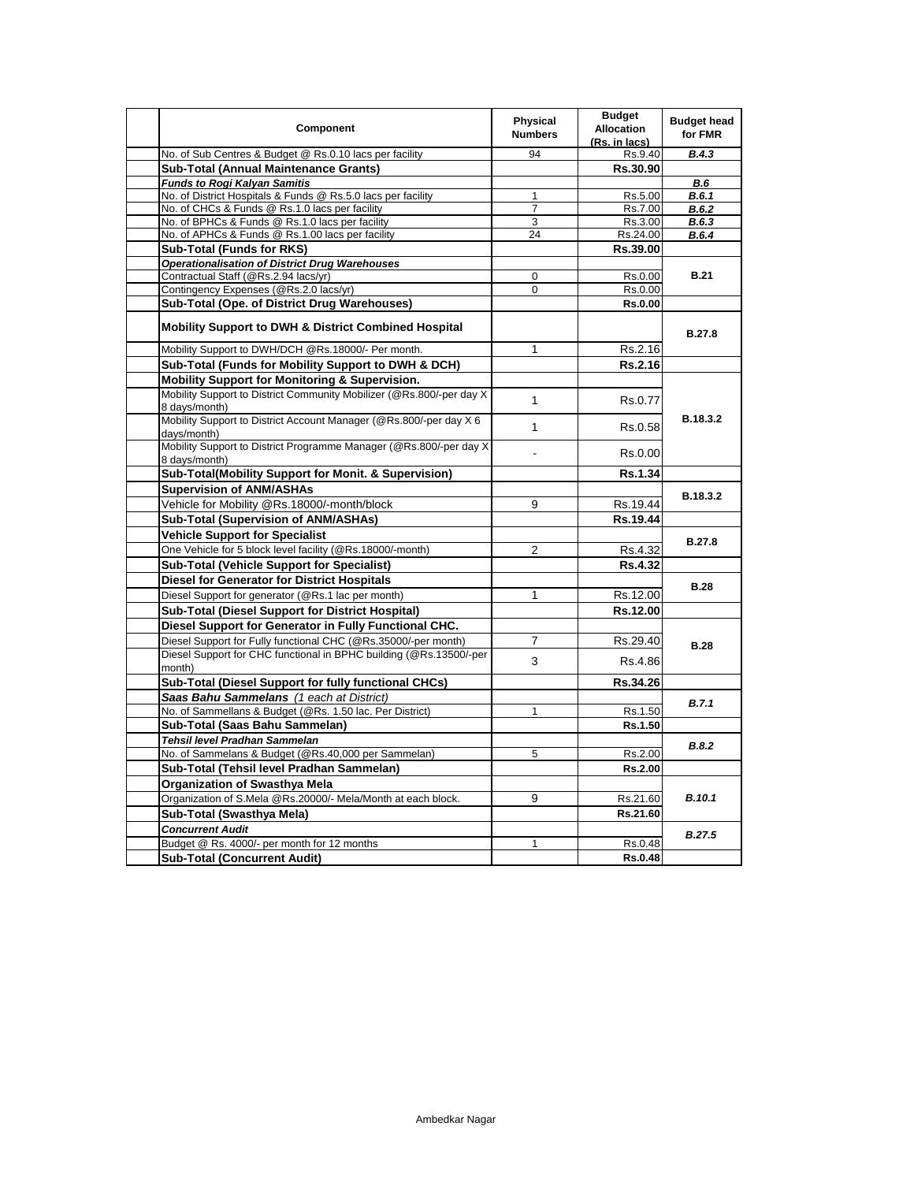| Component                                                                             | <b>Physical</b><br><b>Numbers</b> | <b>Budget</b><br><b>Allocation</b><br>(Rs. in lacs) | <b>Budget head</b><br>for FMR |
|---------------------------------------------------------------------------------------|-----------------------------------|-----------------------------------------------------|-------------------------------|
| No. of Sub Centres & Budget @ Rs.0.10 lacs per facility                               | 94                                | Rs.9.40                                             | B.4.3                         |
| Sub-Total (Annual Maintenance Grants)                                                 |                                   | Rs.30.90                                            |                               |
| <b>Funds to Rogi Kalyan Samitis</b>                                                   |                                   |                                                     | B.6                           |
| No. of District Hospitals & Funds @ Rs.5.0 lacs per facility                          | $\mathbf{1}$                      | Rs.5.00                                             | B.6.1                         |
| No. of CHCs & Funds @ Rs.1.0 lacs per facility                                        | $\overline{7}$                    | Rs.7.00                                             | B.6.2                         |
| No. of BPHCs & Funds @ Rs.1.0 lacs per facility                                       | 3                                 | Rs.3.00                                             | B.6.3                         |
| No. of APHCs & Funds @ Rs.1.00 lacs per facility                                      | 24                                | Rs.24.00                                            | B.6.4                         |
| Sub-Total (Funds for RKS)                                                             |                                   | Rs.39.00                                            |                               |
| <b>Operationalisation of District Drug Warehouses</b>                                 |                                   |                                                     |                               |
| Contractual Staff (@Rs.2.94 lacs/yr)                                                  | $\mathbf 0$                       | Rs.0.00                                             | <b>B.21</b>                   |
| Contingency Expenses (@Rs.2.0 lacs/yr)                                                | 0                                 | Rs.0.00                                             |                               |
| Sub-Total (Ope. of District Drug Warehouses)                                          |                                   | <b>Rs.0.00</b>                                      |                               |
| <b>Mobility Support to DWH &amp; District Combined Hospital</b>                       |                                   |                                                     | <b>B.27.8</b>                 |
| Mobility Support to DWH/DCH @Rs.18000/- Per month.                                    | 1                                 | Rs.2.16                                             |                               |
| Sub-Total (Funds for Mobility Support to DWH & DCH)                                   |                                   | Rs.2.16                                             |                               |
| <b>Mobility Support for Monitoring &amp; Supervision.</b>                             |                                   |                                                     |                               |
| Mobility Support to District Community Mobilizer (@Rs.800/-per day X<br>8 days/month) | $\mathbf{1}$                      | Rs.0.77                                             |                               |
| Mobility Support to District Account Manager (@Rs.800/-per day X 6<br>davs/month)     | $\mathbf{1}$                      | Rs.0.58                                             | B.18.3.2                      |
| Mobility Support to District Programme Manager (@Rs.800/-per day X<br>8 days/month)   |                                   | Rs.0.00                                             |                               |
| Sub-Total(Mobility Support for Monit. & Supervision)                                  |                                   | Rs.1.34                                             |                               |
| <b>Supervision of ANM/ASHAs</b>                                                       |                                   |                                                     | B.18.3.2                      |
| Vehicle for Mobility @Rs.18000/-month/block                                           | 9                                 | Rs.19.44                                            |                               |
| Sub-Total (Supervision of ANM/ASHAs)                                                  |                                   | Rs.19.44                                            |                               |
| <b>Vehicle Support for Specialist</b>                                                 |                                   |                                                     |                               |
| One Vehicle for 5 block level facility (@Rs.18000/-month)                             | $\overline{2}$                    | Rs.4.32                                             | <b>B.27.8</b>                 |
| <b>Sub-Total (Vehicle Support for Specialist)</b>                                     |                                   | <b>Rs.4.32</b>                                      |                               |
|                                                                                       |                                   |                                                     |                               |
| <b>Diesel for Generator for District Hospitals</b>                                    |                                   |                                                     | <b>B.28</b>                   |
| Diesel Support for generator (@Rs.1 lac per month)                                    | $\mathbf{1}$                      | Rs.12.00                                            |                               |
| Sub-Total (Diesel Support for District Hospital)                                      |                                   | Rs.12.00                                            |                               |
| Diesel Support for Generator in Fully Functional CHC.                                 |                                   |                                                     |                               |
| Diesel Support for Fully functional CHC (@Rs.35000/-per month)                        | 7                                 | Rs.29.40                                            | <b>B.28</b>                   |
| Diesel Support for CHC functional in BPHC building (@Rs.13500/-per<br>month)          | 3                                 | Rs.4.86                                             |                               |
| Sub-Total (Diesel Support for fully functional CHCs)                                  |                                   | Rs.34.26                                            |                               |
| Saas Bahu Sammelans (1 each at District)                                              |                                   |                                                     | <b>B.7.1</b>                  |
| No. of Sammellans & Budget (@Rs. 1.50 lac. Per District)                              | 1                                 | Rs.1.50                                             |                               |
| Sub-Total (Saas Bahu Sammelan)                                                        |                                   | Rs.1.50                                             |                               |
| Tehsil level Pradhan Sammelan                                                         |                                   |                                                     | <b>B.8.2</b>                  |
| No. of Sammelans & Budget (@Rs.40,000 per Sammelan)                                   | 5                                 | Rs.2.00                                             |                               |
| Sub-Total (Tehsil level Pradhan Sammelan)                                             |                                   | Rs.2.00                                             |                               |
| <b>Organization of Swasthya Mela</b>                                                  |                                   |                                                     | <b>B.10.1</b>                 |
| Organization of S.Mela @Rs.20000/- Mela/Month at each block.                          | 9                                 | Rs.21.60                                            |                               |
| Sub-Total (Swasthya Mela)                                                             |                                   | Rs.21.60                                            |                               |
| <b>Concurrent Audit</b>                                                               |                                   |                                                     |                               |
| Budget @ Rs. 4000/- per month for 12 months                                           | 1                                 | Rs.0.48                                             | B.27.5                        |
| <b>Sub-Total (Concurrent Audit)</b>                                                   |                                   | <b>Rs.0.48</b>                                      |                               |
|                                                                                       |                                   |                                                     |                               |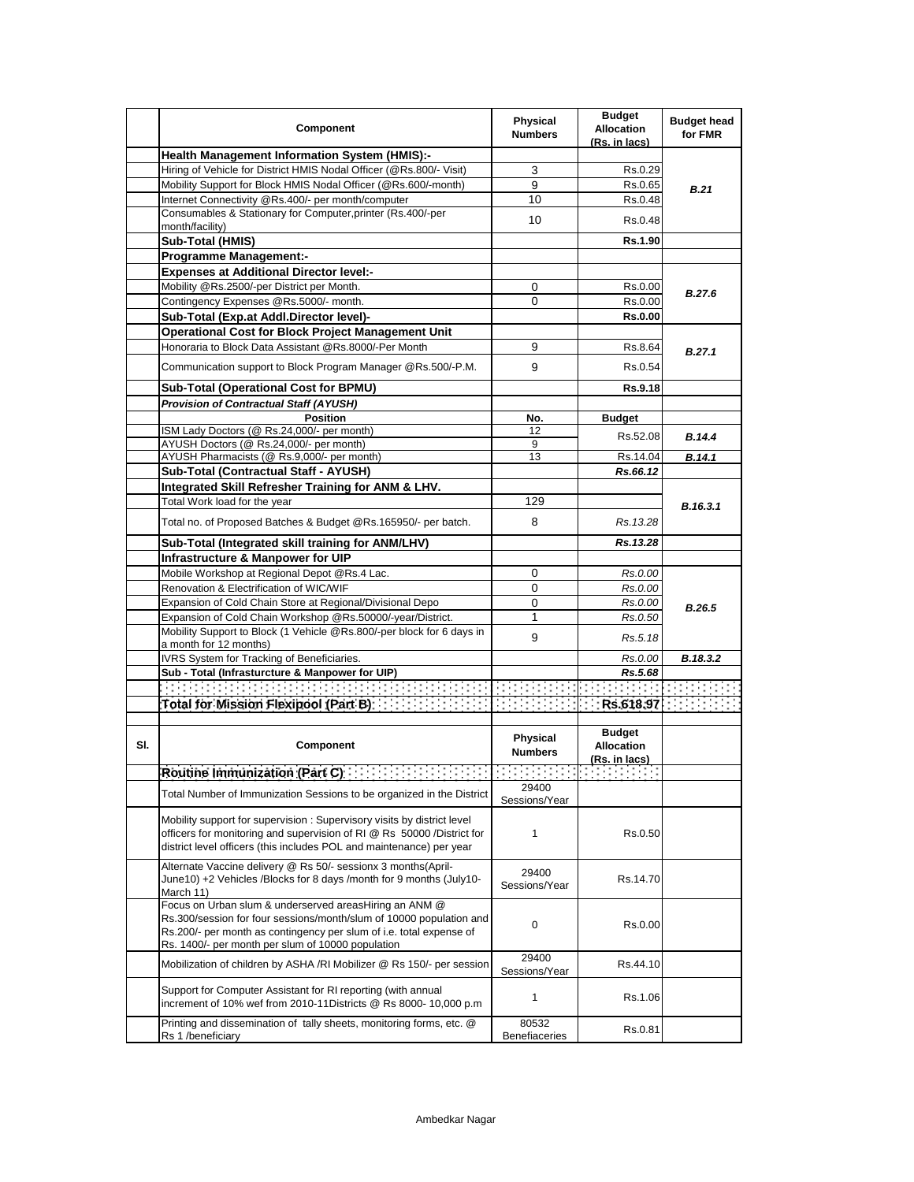|     | Component                                                                                                                                                                                                                                                 | Physical<br><b>Numbers</b>    | <b>Budget</b><br><b>Allocation</b><br>(Rs. in lacs) | <b>Budget head</b><br>for FMR |
|-----|-----------------------------------------------------------------------------------------------------------------------------------------------------------------------------------------------------------------------------------------------------------|-------------------------------|-----------------------------------------------------|-------------------------------|
|     | <b>Health Management Information System (HMIS):-</b>                                                                                                                                                                                                      |                               |                                                     |                               |
|     | Hiring of Vehicle for District HMIS Nodal Officer (@Rs.800/- Visit)                                                                                                                                                                                       | 3                             | Rs.0.29                                             |                               |
|     | Mobility Support for Block HMIS Nodal Officer (@Rs.600/-month)                                                                                                                                                                                            | 9                             | Rs.0.65                                             | B.21                          |
|     | Internet Connectivity @Rs.400/- per month/computer                                                                                                                                                                                                        | 10                            | Rs.0.48                                             |                               |
|     | Consumables & Stationary for Computer, printer (Rs.400/-per<br>month/facility)                                                                                                                                                                            | 10                            | Rs 0.48                                             |                               |
|     | Sub-Total (HMIS)                                                                                                                                                                                                                                          |                               | Rs.1.90                                             |                               |
|     | <b>Programme Management:-</b>                                                                                                                                                                                                                             |                               |                                                     |                               |
|     | <b>Expenses at Additional Director level:-</b>                                                                                                                                                                                                            |                               |                                                     |                               |
|     | Mobility @Rs.2500/-per District per Month.                                                                                                                                                                                                                | 0                             | Rs.0.00                                             |                               |
|     | Contingency Expenses @Rs.5000/- month.                                                                                                                                                                                                                    | 0                             | Rs.0.00                                             | B.27.6                        |
|     | Sub-Total (Exp.at Addl.Director level)-                                                                                                                                                                                                                   |                               | <b>Rs.0.00</b>                                      |                               |
|     | <b>Operational Cost for Block Project Management Unit</b>                                                                                                                                                                                                 |                               |                                                     |                               |
|     | Honoraria to Block Data Assistant @Rs.8000/-Per Month                                                                                                                                                                                                     | 9                             | Rs.8.64                                             | B.27.1                        |
|     | Communication support to Block Program Manager @Rs.500/-P.M.                                                                                                                                                                                              | 9                             | Rs.0.54                                             |                               |
|     | Sub-Total (Operational Cost for BPMU)                                                                                                                                                                                                                     |                               | Rs.9.18                                             |                               |
|     | <b>Provision of Contractual Staff (AYUSH)</b>                                                                                                                                                                                                             |                               |                                                     |                               |
|     | <b>Position</b>                                                                                                                                                                                                                                           | No.                           | <b>Budget</b>                                       |                               |
|     | ISM Lady Doctors (@ Rs.24,000/- per month)                                                                                                                                                                                                                | 12                            |                                                     | <b>B.14.4</b>                 |
|     | AYUSH Doctors (@ Rs.24,000/- per month)                                                                                                                                                                                                                   | 9                             | Rs.52.08                                            |                               |
|     | AYUSH Pharmacists (@ Rs.9,000/- per month)                                                                                                                                                                                                                | 13                            | Rs.14.04                                            | B.14.1                        |
|     | Sub-Total (Contractual Staff - AYUSH)                                                                                                                                                                                                                     |                               | Rs.66.12                                            |                               |
|     | Integrated Skill Refresher Training for ANM & LHV.                                                                                                                                                                                                        |                               |                                                     |                               |
|     | Total Work load for the year                                                                                                                                                                                                                              | 129                           |                                                     | B.16.3.1                      |
|     | Total no. of Proposed Batches & Budget @Rs.165950/- per batch.                                                                                                                                                                                            | 8                             | Rs. 13.28                                           |                               |
|     | Sub-Total (Integrated skill training for ANM/LHV)                                                                                                                                                                                                         |                               | Rs.13.28                                            |                               |
|     | Infrastructure & Manpower for UIP                                                                                                                                                                                                                         |                               |                                                     |                               |
|     | Mobile Workshop at Regional Depot @Rs.4 Lac.                                                                                                                                                                                                              | 0                             | Rs.0.00                                             |                               |
|     | Renovation & Electrification of WIC/WIF                                                                                                                                                                                                                   | 0                             | Rs.0.00                                             |                               |
|     | Expansion of Cold Chain Store at Regional/Divisional Depo                                                                                                                                                                                                 | 0                             | Rs.0.00                                             | B.26.5                        |
|     | Expansion of Cold Chain Workshop @Rs.50000/-year/District.                                                                                                                                                                                                | 1                             | Rs.0.50                                             |                               |
|     | Mobility Support to Block (1 Vehicle @Rs.800/-per block for 6 days in                                                                                                                                                                                     | 9                             | Rs.5.18                                             |                               |
|     | a month for 12 months)                                                                                                                                                                                                                                    |                               |                                                     |                               |
|     | IVRS System for Tracking of Beneficiaries.                                                                                                                                                                                                                |                               | Rs.0.00                                             | B.18.3.2                      |
|     | Sub - Total (Infrasturcture & Manpower for UIP)                                                                                                                                                                                                           |                               | Rs.5.68                                             |                               |
|     |                                                                                                                                                                                                                                                           |                               |                                                     |                               |
|     | Total for Mission Flexipool (Part B) The Mission of Allen                                                                                                                                                                                                 |                               |                                                     |                               |
| SI. | Component                                                                                                                                                                                                                                                 | Physical<br><b>Numbers</b>    | <b>Budget</b><br><b>Allocation</b><br>(Rs. in lacs) |                               |
|     |                                                                                                                                                                                                                                                           |                               |                                                     |                               |
|     | Total Number of Immunization Sessions to be organized in the District                                                                                                                                                                                     | 29400<br>Sessions/Year        |                                                     |                               |
|     | Mobility support for supervision: Supervisory visits by district level<br>officers for monitoring and supervision of RI @ Rs 50000 /District for<br>district level officers (this includes POL and maintenance) per year                                  | 1                             | Rs.0.50                                             |                               |
|     | Alternate Vaccine delivery @ Rs 50/- sessionx 3 months(April-<br>June10) +2 Vehicles /Blocks for 8 days /month for 9 months (July10-<br>March 11)                                                                                                         | 29400<br>Sessions/Year        | Rs.14.70                                            |                               |
|     | Focus on Urban slum & underserved areasHiring an ANM @<br>Rs.300/session for four sessions/month/slum of 10000 population and<br>Rs.200/- per month as contingency per slum of i.e. total expense of<br>Rs. 1400/- per month per slum of 10000 population | 0                             | Rs.0.00                                             |                               |
|     | Mobilization of children by ASHA /RI Mobilizer @ Rs 150/- per session                                                                                                                                                                                     | 29400<br>Sessions/Year        | Rs.44.10                                            |                               |
|     | Support for Computer Assistant for RI reporting (with annual<br>increment of 10% wef from 2010-11Districts @ Rs 8000- 10,000 p.m                                                                                                                          | 1                             | Rs.1.06                                             |                               |
|     | Printing and dissemination of tally sheets, monitoring forms, etc. @<br>Rs 1 /beneficiary                                                                                                                                                                 | 80532<br><b>Benefiaceries</b> | Rs.0.81                                             |                               |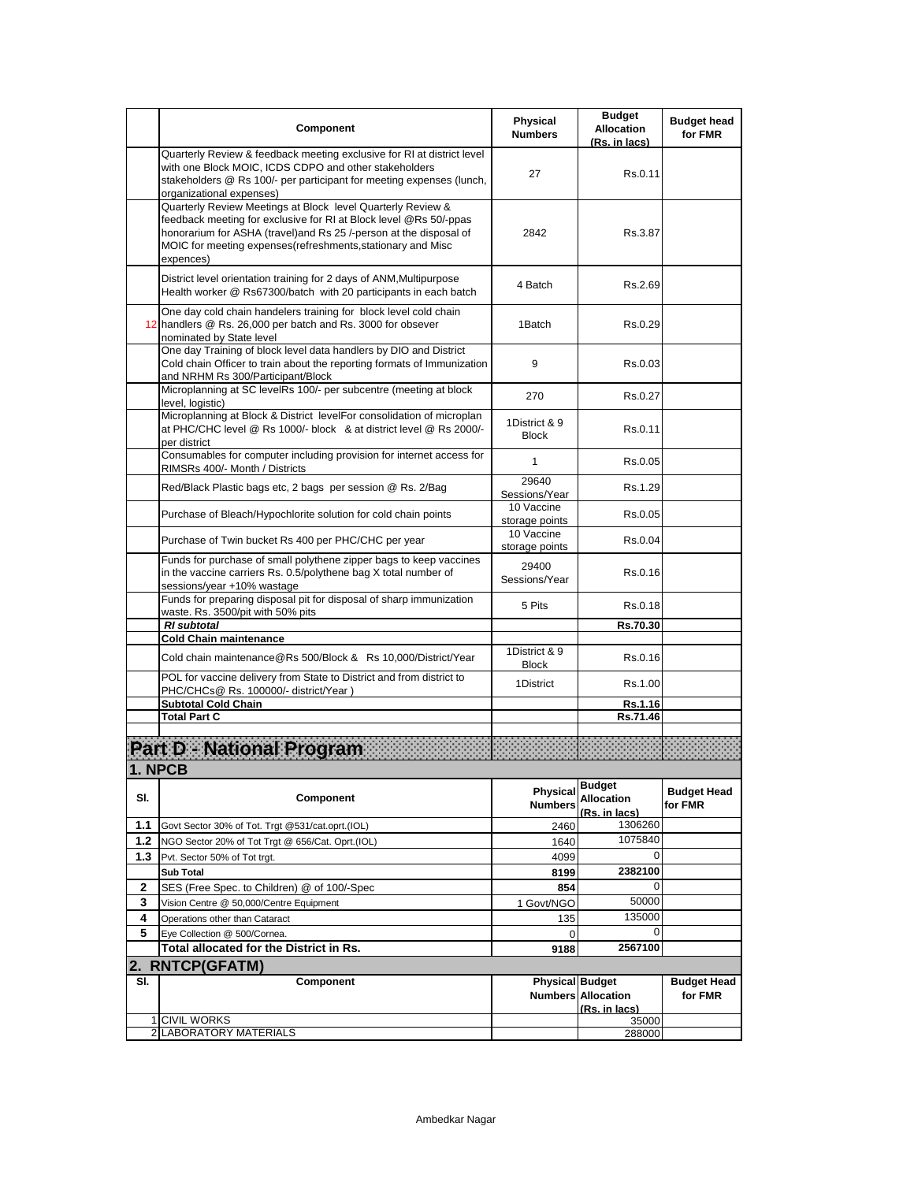|              | Component                                                                                                                                                                                                                                                                         | Physical<br><b>Numbers</b>    | <b>Budget</b><br><b>Allocation</b><br>(Rs. in lacs) | <b>Budget head</b><br>for FMR |
|--------------|-----------------------------------------------------------------------------------------------------------------------------------------------------------------------------------------------------------------------------------------------------------------------------------|-------------------------------|-----------------------------------------------------|-------------------------------|
|              | Quarterly Review & feedback meeting exclusive for RI at district level<br>with one Block MOIC, ICDS CDPO and other stakeholders<br>stakeholders @ Rs 100/- per participant for meeting expenses (lunch,<br>organizational expenses)                                               | 27                            | Rs.0.11                                             |                               |
|              | Quarterly Review Meetings at Block level Quarterly Review &<br>feedback meeting for exclusive for RI at Block level @Rs 50/-ppas<br>honorarium for ASHA (travel)and Rs 25 /-person at the disposal of<br>MOIC for meeting expenses(refreshments, stationary and Misc<br>expences) | 2842                          | Rs.3.87                                             |                               |
|              | District level orientation training for 2 days of ANM, Multipurpose<br>Health worker @ Rs67300/batch with 20 participants in each batch                                                                                                                                           | 4 Batch                       | Rs.2.69                                             |                               |
|              | One day cold chain handelers training for block level cold chain<br>12 handlers @ Rs. 26,000 per batch and Rs. 3000 for obsever<br>nominated by State level                                                                                                                       | 1Batch                        | Rs 0.29                                             |                               |
|              | One day Training of block level data handlers by DIO and District<br>Cold chain Officer to train about the reporting formats of Immunization<br>and NRHM Rs 300/Participant/Block                                                                                                 | 9                             | Rs 0.03                                             |                               |
|              | Microplanning at SC levelRs 100/- per subcentre (meeting at block<br>level, logistic)                                                                                                                                                                                             | 270                           | Rs.0.27                                             |                               |
|              | Microplanning at Block & District levelFor consolidation of microplan<br>at PHC/CHC level @ Rs 1000/- block & at district level @ Rs 2000/-<br>per district                                                                                                                       | 1District & 9<br><b>Block</b> | Rs.0.11                                             |                               |
|              | Consumables for computer including provision for internet access for<br>RIMSRs 400/- Month / Districts                                                                                                                                                                            | $\mathbf{1}$                  | Rs.0.05                                             |                               |
|              | Red/Black Plastic bags etc, 2 bags per session @ Rs. 2/Bag                                                                                                                                                                                                                        | 29640<br>Sessions/Year        | Rs.1.29                                             |                               |
|              | Purchase of Bleach/Hypochlorite solution for cold chain points                                                                                                                                                                                                                    | 10 Vaccine<br>storage points  | Rs 0.05                                             |                               |
|              | Purchase of Twin bucket Rs 400 per PHC/CHC per year                                                                                                                                                                                                                               | 10 Vaccine<br>storage points  | Rs 0.04                                             |                               |
|              | Funds for purchase of small polythene zipper bags to keep vaccines<br>in the vaccine carriers Rs. 0.5/polythene bag X total number of<br>sessions/year +10% wastage                                                                                                               | 29400<br>Sessions/Year        | Rs 0.16                                             |                               |
|              | Funds for preparing disposal pit for disposal of sharp immunization<br>waste. Rs. 3500/pit with 50% pits                                                                                                                                                                          | 5 Pits                        | Rs 0.18                                             |                               |
|              | <b>RI</b> subtotal<br><b>Cold Chain maintenance</b>                                                                                                                                                                                                                               |                               | Rs.70.30                                            |                               |
|              |                                                                                                                                                                                                                                                                                   | 1District & 9                 |                                                     |                               |
|              | Cold chain maintenance@Rs 500/Block & Rs 10,000/District/Year<br>POL for vaccine delivery from State to District and from district to                                                                                                                                             | <b>Block</b>                  | Rs 0.16                                             |                               |
|              | PHC/CHCs@ Rs. 100000/- district/Year)                                                                                                                                                                                                                                             | 1District                     | Rs.1.00                                             |                               |
|              | <b>Subtotal Cold Chain</b>                                                                                                                                                                                                                                                        |                               | <b>Rs.1.16</b>                                      |                               |
|              | <b>Total Part C</b>                                                                                                                                                                                                                                                               |                               | Rs.71.46                                            |                               |
|              | Part D - National Program<br><b>NPCB</b>                                                                                                                                                                                                                                          |                               |                                                     |                               |
| SI.          | Component                                                                                                                                                                                                                                                                         | Physical<br><b>Numbers</b>    | <b>Budget</b><br><b>Allocation</b><br>(Rs. in lacs) | <b>Budget Head</b><br>for FMR |
| 1.1          | Govt Sector 30% of Tot. Trgt @531/cat.oprt.(IOL)                                                                                                                                                                                                                                  | 2460                          | 1306260                                             |                               |
| $1.2$        | NGO Sector 20% of Tot Trgt @ 656/Cat. Oprt.(IOL)                                                                                                                                                                                                                                  | 1640                          | 1075840                                             |                               |
| 1.3          | Pvt. Sector 50% of Tot trgt.                                                                                                                                                                                                                                                      | 4099                          | 0                                                   |                               |
|              | <b>Sub Total</b>                                                                                                                                                                                                                                                                  | 8199                          | 2382100                                             |                               |
| $\mathbf{2}$ | SES (Free Spec. to Children) @ of 100/-Spec                                                                                                                                                                                                                                       | 854                           | 0                                                   |                               |
| 3            | Vision Centre @ 50,000/Centre Equipment                                                                                                                                                                                                                                           | 1 Govt/NGO                    | 50000<br>135000                                     |                               |
| 4<br>5       | Operations other than Cataract<br>Eye Collection @ 500/Cornea.                                                                                                                                                                                                                    | 135<br>$\mathbf 0$            | 0                                                   |                               |
|              | Total allocated for the District in Rs.                                                                                                                                                                                                                                           | 9188                          | 2567100                                             |                               |
|              | 2. RNTCP(GFATM)                                                                                                                                                                                                                                                                   |                               |                                                     |                               |
| SI.          | Component                                                                                                                                                                                                                                                                         | <b>Physical Budget</b>        | <b>Numbers Allocation</b><br>(Rs. in lacs)          | <b>Budget Head</b><br>for FMR |
|              | 1 CIVIL WORKS                                                                                                                                                                                                                                                                     |                               | 35000                                               |                               |
|              | 2 LABORATORY MATERIALS                                                                                                                                                                                                                                                            |                               | 288000                                              |                               |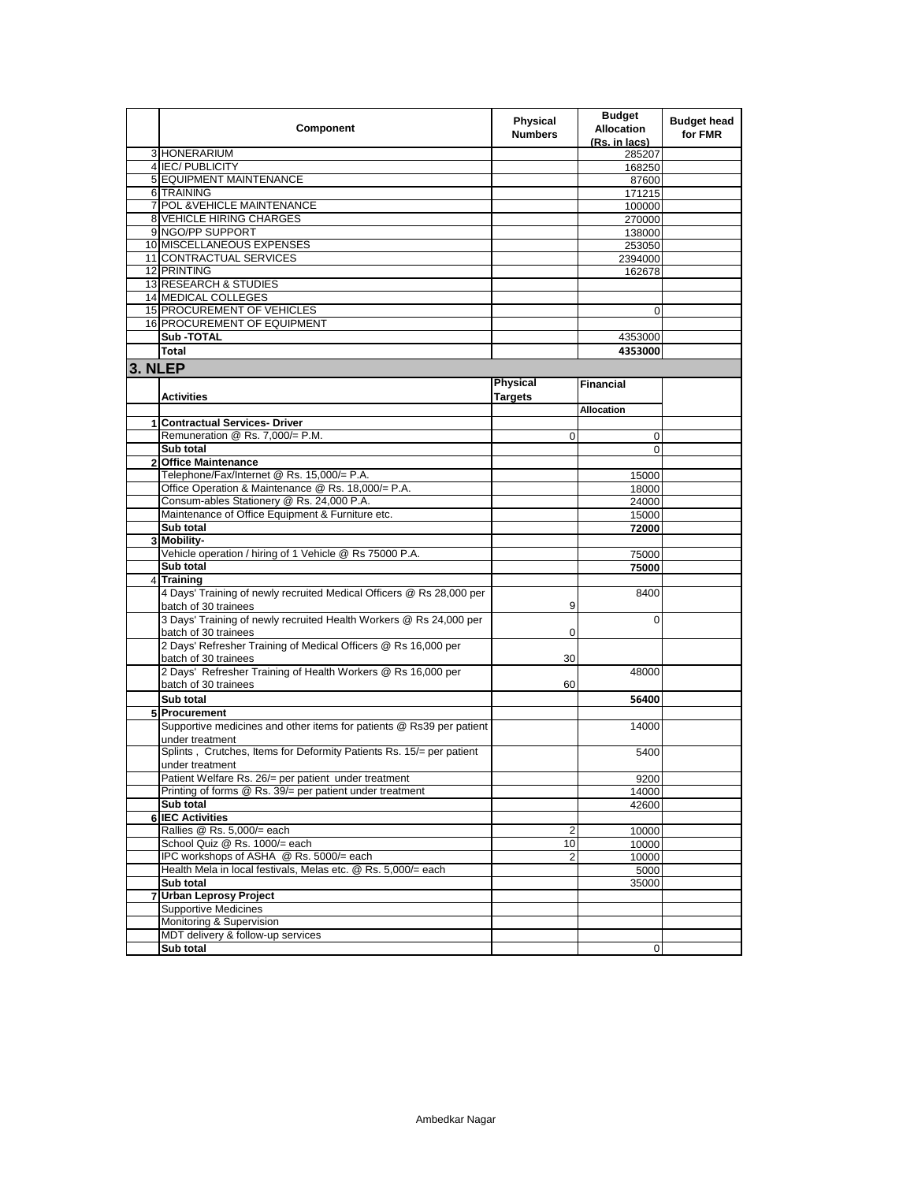|         | Component                                                            | Physical<br><b>Numbers</b> | <b>Budget</b><br><b>Allocation</b><br>(Rs. in lacs) | <b>Budget head</b><br>for FMR |
|---------|----------------------------------------------------------------------|----------------------------|-----------------------------------------------------|-------------------------------|
|         | 3 HONERARIUM                                                         |                            | 285207                                              |                               |
|         | 4 IEC/PUBLICITY                                                      |                            | 168250                                              |                               |
|         | 5 EQUIPMENT MAINTENANCE                                              |                            | 87600                                               |                               |
|         | 6 TRAINING                                                           |                            | 171215                                              |                               |
|         | 7 POL & VEHICLE MAINTENANCE                                          |                            | 100000                                              |                               |
|         | <b>8 VEHICLE HIRING CHARGES</b>                                      |                            | 270000                                              |                               |
|         | 9 NGO/PP SUPPORT                                                     |                            | 138000                                              |                               |
|         | 10 MISCELLANEOUS EXPENSES                                            |                            | 253050                                              |                               |
|         | 11 CONTRACTUAL SERVICES                                              |                            | 2394000                                             |                               |
|         | 12 PRINTING                                                          |                            | 162678                                              |                               |
|         |                                                                      |                            |                                                     |                               |
|         | 13 RESEARCH & STUDIES<br><b>14 MEDICAL COLLEGES</b>                  |                            |                                                     |                               |
|         |                                                                      |                            |                                                     |                               |
|         | 15 PROCUREMENT OF VEHICLES                                           |                            | $\Omega$                                            |                               |
|         | 16 PROCUREMENT OF EQUIPMENT                                          |                            |                                                     |                               |
|         | <b>Sub-TOTAL</b>                                                     |                            | 4353000                                             |                               |
|         | <b>Total</b>                                                         |                            | 4353000                                             |                               |
| 3. NLEP |                                                                      |                            |                                                     |                               |
|         |                                                                      | Physical                   |                                                     |                               |
|         |                                                                      |                            | <b>Financial</b>                                    |                               |
|         | <b>Activities</b>                                                    | <b>Targets</b>             |                                                     |                               |
|         |                                                                      |                            | Allocation                                          |                               |
|         | 1 Contractual Services- Driver                                       |                            |                                                     |                               |
|         | Remuneration @ Rs. 7,000/= P.M.                                      | 0                          | $\mathbf 0$                                         |                               |
|         | Sub total                                                            |                            | $\Omega$                                            |                               |
|         | 2 Office Maintenance                                                 |                            |                                                     |                               |
|         | Telephone/Fax/Internet @ Rs. 15,000/= P.A.                           |                            | 15000                                               |                               |
|         | Office Operation & Maintenance @ Rs. 18,000/= P.A.                   |                            | 18000                                               |                               |
|         | Consum-ables Stationery @ Rs. 24,000 P.A.                            |                            | 24000                                               |                               |
|         | Maintenance of Office Equipment & Furniture etc.                     |                            | 15000                                               |                               |
|         | Sub total                                                            |                            | 72000                                               |                               |
|         | 3 Mobility-                                                          |                            |                                                     |                               |
|         | Vehicle operation / hiring of 1 Vehicle @ Rs 75000 P.A.              |                            |                                                     |                               |
|         | Sub total                                                            |                            | 75000                                               |                               |
|         |                                                                      |                            | 75000                                               |                               |
|         | 4 Training                                                           |                            |                                                     |                               |
|         | 4 Days' Training of newly recruited Medical Officers @ Rs 28,000 per |                            | 8400                                                |                               |
|         | batch of 30 trainees                                                 | 9                          |                                                     |                               |
|         | 3 Days' Training of newly recruited Health Workers @ Rs 24,000 per   |                            | 0                                                   |                               |
|         | batch of 30 trainees                                                 | 0                          |                                                     |                               |
|         | 2 Days' Refresher Training of Medical Officers @ Rs 16,000 per       |                            |                                                     |                               |
|         | batch of 30 trainees                                                 | 30                         |                                                     |                               |
|         | 2 Days' Refresher Training of Health Workers @ Rs 16,000 per         |                            | 48000                                               |                               |
|         | batch of 30 trainees                                                 | 60                         |                                                     |                               |
|         | Sub total                                                            |                            | 56400                                               |                               |
|         | 5 Procurement                                                        |                            |                                                     |                               |
|         | Supportive medicines and other items for patients @ Rs39 per patient |                            | 14000                                               |                               |
|         | under treatment                                                      |                            |                                                     |                               |
|         | Splints, Crutches, Items for Deformity Patients Rs. 15/= per patient |                            | 5400                                                |                               |
|         | under treatment                                                      |                            |                                                     |                               |
|         | Patient Welfare Rs. 26/= per patient under treatment                 |                            | 9200                                                |                               |
|         | Printing of forms @ Rs. 39/= per patient under treatment             |                            |                                                     |                               |
|         | Sub total                                                            |                            | 14000<br>42600                                      |                               |
|         |                                                                      |                            |                                                     |                               |
|         | <b>6 IEC Activities</b>                                              |                            |                                                     |                               |
|         | Rallies @ Rs. 5,000/= each                                           | 2                          | 10000                                               |                               |
|         | School Quiz @ Rs. 1000/= each                                        | 10                         | 10000                                               |                               |
|         | IPC workshops of ASHA @ Rs. 5000/= each                              | 2                          | 10000                                               |                               |
|         | Health Mela in local festivals, Melas etc. @ Rs. 5,000/= each        |                            | 5000                                                |                               |
|         | Sub total                                                            |                            | 35000                                               |                               |
| 7       | <b>Urban Leprosy Project</b>                                         |                            |                                                     |                               |
|         | <b>Supportive Medicines</b>                                          |                            |                                                     |                               |
|         | Monitoring & Supervision                                             |                            |                                                     |                               |
|         | MDT delivery & follow-up services                                    |                            |                                                     |                               |
|         | Sub total                                                            |                            | 0                                                   |                               |
|         |                                                                      |                            |                                                     |                               |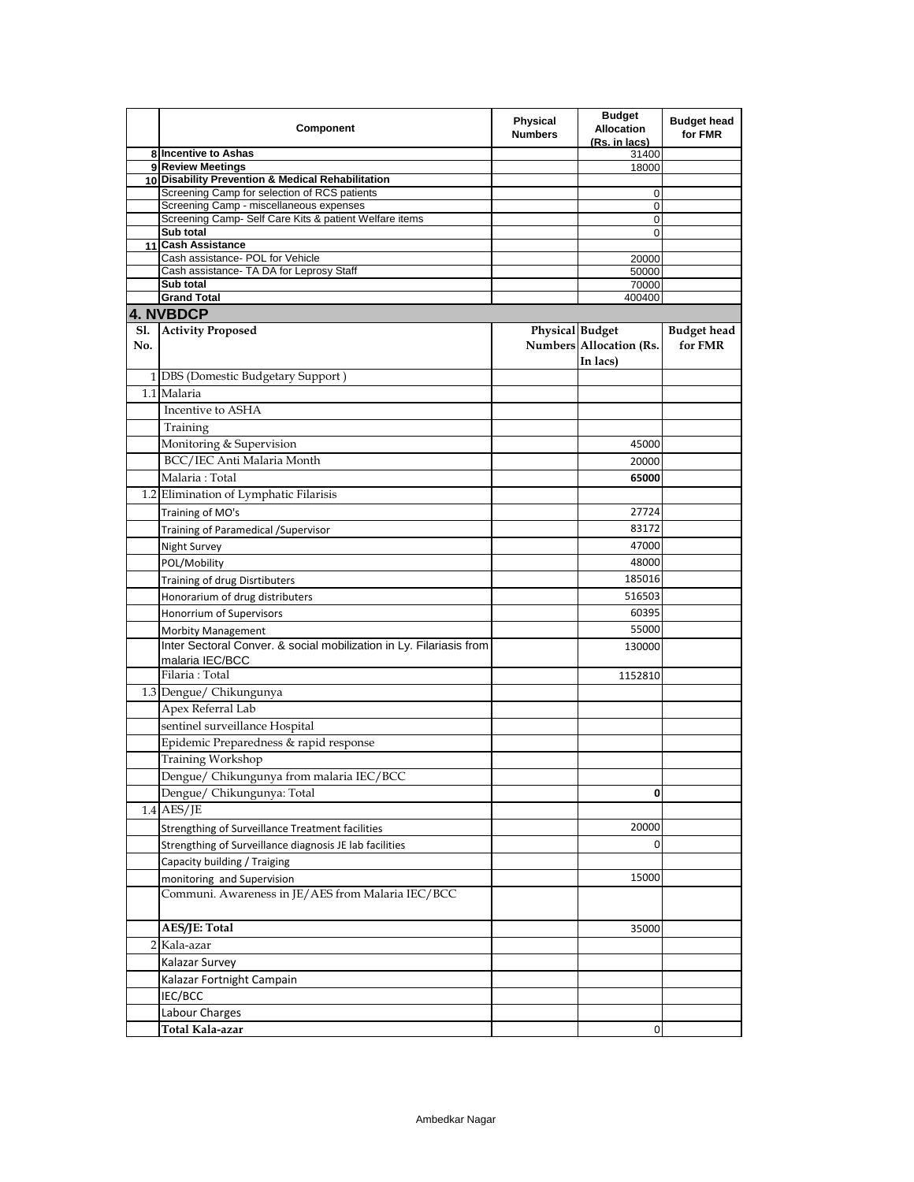|     | Component                                                              | <b>Physical</b><br><b>Numbers</b> | <b>Budget</b><br><b>Allocation</b><br>(Rs. in lacs) | <b>Budget head</b><br>for FMR |
|-----|------------------------------------------------------------------------|-----------------------------------|-----------------------------------------------------|-------------------------------|
|     | 8 Incentive to Ashas                                                   |                                   | 31400                                               |                               |
|     | 9 Review Meetings<br>10 Disability Prevention & Medical Rehabilitation |                                   | 18000                                               |                               |
|     | Screening Camp for selection of RCS patients                           |                                   | 0                                                   |                               |
|     | Screening Camp - miscellaneous expenses                                |                                   | 0                                                   |                               |
|     | Screening Camp- Self Care Kits & patient Welfare items                 |                                   | 0                                                   |                               |
|     | Sub total                                                              |                                   | 0                                                   |                               |
| 11  | <b>Cash Assistance</b><br>Cash assistance- POL for Vehicle             |                                   | 20000                                               |                               |
|     | Cash assistance- TA DA for Leprosy Staff                               |                                   | 50000                                               |                               |
|     | Sub total                                                              |                                   | 70000                                               |                               |
|     | <b>Grand Total</b>                                                     |                                   | 400400                                              |                               |
|     | 4. NVBDCP                                                              |                                   |                                                     |                               |
| Sl. | <b>Activity Proposed</b>                                               | <b>Physical Budget</b>            |                                                     | <b>Budget head</b>            |
| No. |                                                                        |                                   | Numbers Allocation (Rs.                             | for FMR                       |
|     |                                                                        |                                   | In lacs)                                            |                               |
|     | 1 DBS (Domestic Budgetary Support)                                     |                                   |                                                     |                               |
|     | 1.1 Malaria                                                            |                                   |                                                     |                               |
|     | Incentive to ASHA                                                      |                                   |                                                     |                               |
|     | Training                                                               |                                   |                                                     |                               |
|     | Monitoring & Supervision                                               |                                   | 45000                                               |                               |
|     | BCC/IEC Anti Malaria Month                                             |                                   | 20000                                               |                               |
|     | Malaria: Total                                                         |                                   | 65000                                               |                               |
|     | 1.2 Elimination of Lymphatic Filarisis                                 |                                   |                                                     |                               |
|     | Training of MO's                                                       |                                   | 27724                                               |                               |
|     | Training of Paramedical /Supervisor                                    |                                   | 83172                                               |                               |
|     | <b>Night Survey</b>                                                    |                                   | 47000                                               |                               |
|     | POL/Mobility                                                           |                                   | 48000                                               |                               |
|     | Training of drug Disrtibuters                                          |                                   | 185016                                              |                               |
|     | Honorarium of drug distributers                                        |                                   | 516503                                              |                               |
|     | Honorrium of Supervisors                                               |                                   | 60395                                               |                               |
|     | <b>Morbity Management</b>                                              |                                   | 55000                                               |                               |
|     | Inter Sectoral Conver. & social mobilization in Ly. Filariasis from    |                                   | 130000                                              |                               |
|     | malaria IEC/BCC                                                        |                                   |                                                     |                               |
|     | Filaria: Total                                                         |                                   | 1152810                                             |                               |
|     | 1.3 Dengue/ Chikungunya                                                |                                   |                                                     |                               |
|     | Apex Referral Lab                                                      |                                   |                                                     |                               |
|     | sentinel surveillance Hospital                                         |                                   |                                                     |                               |
|     | Epidemic Preparedness & rapid response                                 |                                   |                                                     |                               |
|     | Training Workshop                                                      |                                   |                                                     |                               |
|     | Dengue/ Chikungunya from malaria IEC/BCC                               |                                   |                                                     |                               |
|     | Dengue/ Chikungunya: Total                                             |                                   | 0                                                   |                               |
|     | $1.4$ AES/JE                                                           |                                   |                                                     |                               |
|     | Strengthing of Surveillance Treatment facilities                       |                                   | 20000                                               |                               |
|     | Strengthing of Surveillance diagnosis JE lab facilities                |                                   | 0                                                   |                               |
|     | Capacity building / Traiging                                           |                                   |                                                     |                               |
|     | monitoring and Supervision                                             |                                   | 15000                                               |                               |
|     | Communi. Awareness in JE/AES from Malaria IEC/BCC                      |                                   |                                                     |                               |
|     |                                                                        |                                   |                                                     |                               |
|     | AES/JE: Total                                                          |                                   | 35000                                               |                               |
|     | 2 Kala-azar                                                            |                                   |                                                     |                               |
|     | Kalazar Survey                                                         |                                   |                                                     |                               |
|     | Kalazar Fortnight Campain                                              |                                   |                                                     |                               |
|     | IEC/BCC                                                                |                                   |                                                     |                               |
|     | Labour Charges                                                         |                                   |                                                     |                               |
|     | Total Kala-azar                                                        |                                   | 0                                                   |                               |